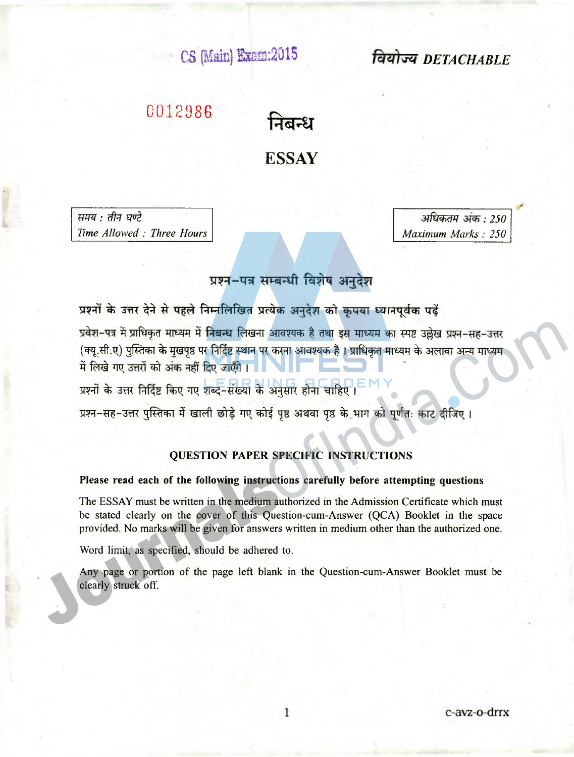**CS (Main) tem:**201**S** *DETACHABLE*

# **0012986**

निबन्ध **ESSAY**

*W ffl: (fl^i UU<1 Time Allowed : Three Hours*

*अधिकतम अंक : 250 Maximum Marks : 250*

## प्रश्न-पत्र सम्बन्धी विशेष अनुदेश

प्रश्नों के उत्तर देने से पहले निम्नलिखित प्रत्येक अनुदेश को कृपया ध्यानपूर्वक पढ़ें प्रवेश-पत्र में प्राधिकृत माध्यम में निबन्ध लिखना आवश्यक है तथा इस माध्यम का स्पष्ट उल्लेख प्रश्न-सह-उत्तर (क्यू.सी.ए) पुस्तिका के मुखपृष्ठ पर निर्दिष्ट स्थान पर करना आवश्यक है। प्राधिकृत माध्यम के अलावा अन्य माध्यम में लिखे गए उत्तरों को अंक नहीं दिए जाएँगे। प्रवेश-पत्र में प्राधिकृत माध्यम में निबन्ध लिखना आवश्यक है तथा इस माध्यम का स्पष्ट उल्लेख प्रश्न-सह-उत्तर<br>(क्यू.सी.ए) पुलिका के मुखपूष्ठ पर निर्दिष्ट स्थान पर करना आवश्यक है । प्राधिकृत माध्यम के अलावा अन्य माध्यम<br>में

प्रश्नों के उत्तर निर्दिष्ट किए गए शब्द-संख्या के अनुसार होना चाहिए।

प्रश्न-सह-उत्तर पुस्तिका में खाली छोड़े गए कोई पृष्ठ अथवा पृष्ठ के भाग को पूर्णतः काट दीजिए।

#### **QUESTION PAPER SPECIFIC INSTRUCTIONS**

#### **Please read each of the following instructions carefully before attempting questions**

The ESSAY must be written in the medium authorized in the Admission Certificate which must be stated clearly on the cover of this Question-cum-Answer (QCA) Booklet in the space provided. No marks will be given for answers written in medium other than the authorized one.

Word limit, as specified, should be adhered to.

Any page or portion of the page left blank in the Question-cum-Answer Booklet must be clearly struck off.